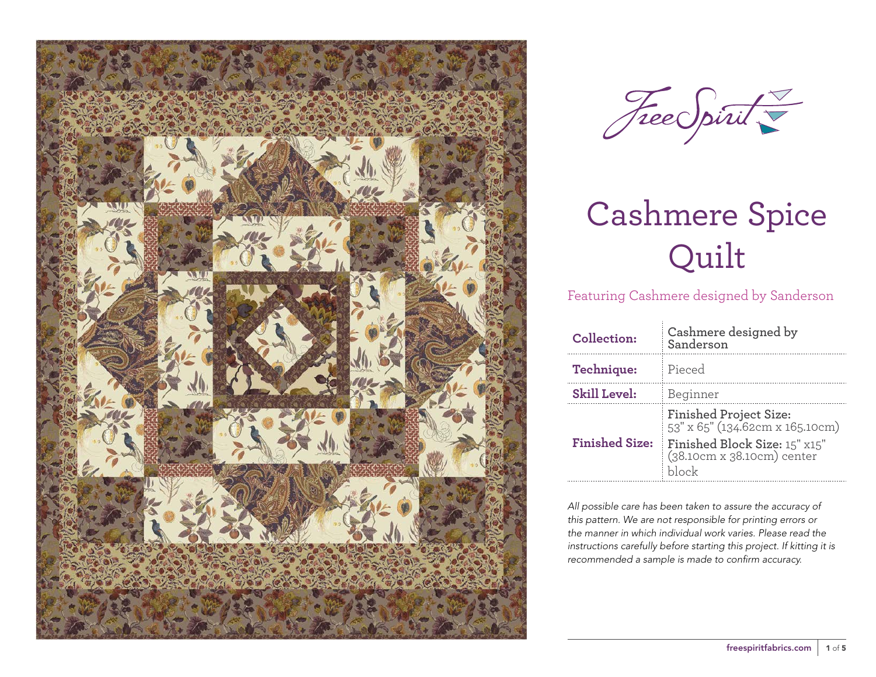



Featuring Cashmere designed by Sanderson

| Collection:           | Cashmere designed by<br>Sanderson                                                                                                 |
|-----------------------|-----------------------------------------------------------------------------------------------------------------------------------|
| Technique:            | Pieced                                                                                                                            |
| <b>Skill Level:</b>   | Beginner                                                                                                                          |
| <b>Finished Size:</b> | Finished Project Size:<br>53" x 65" (134.62cm x 165.10cm)<br>Finished Block Size: 15" x15"<br>(38.10cm x 38.10cm) center<br>hlock |

*All possible care has been taken to assure the accuracy of this pattern. We are not responsible for printing errors or the manner in which individual work varies. Please read the instructions carefully before starting this project. If kitting it is recommended a sample is made to confirm accuracy.*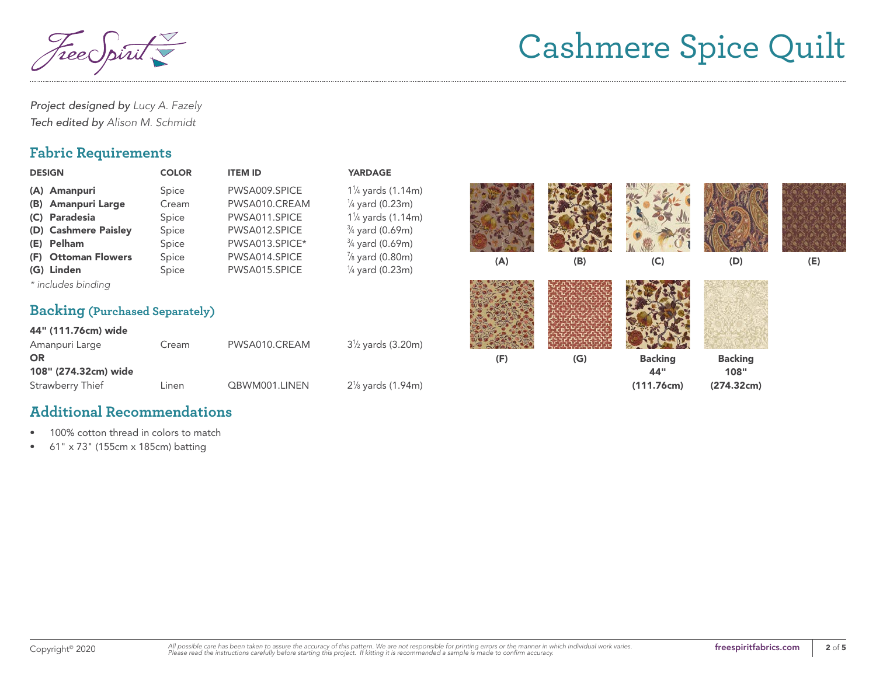reec

*Project designed by Lucy A. Fazely Tech edited by Alison M. Schmidt*

## **Fabric Requirements**

| <b>DESIGN</b>                         | <b>COLOR</b> | <b>ITEM ID</b> | <b>YARDAGE</b>               |     |     |                |                |     |
|---------------------------------------|--------------|----------------|------------------------------|-----|-----|----------------|----------------|-----|
| (A) Amanpuri                          | Spice        | PWSA009.SPICE  | $1\frac{1}{4}$ yards (1.14m) |     |     |                |                |     |
| <b>Amanpuri Large</b><br>(B)          | Cream        | PWSA010.CREAM  | $\frac{1}{4}$ yard (0.23m)   |     |     |                |                |     |
| (C) Paradesia                         | Spice        | PWSA011.SPICE  | $1\frac{1}{4}$ yards (1.14m) |     |     |                |                |     |
| (D) Cashmere Paisley                  | Spice        | PWSA012.SPICE  | $\frac{3}{4}$ yard (0.69m)   |     |     |                |                |     |
| Pelham<br>(E)                         | Spice        | PWSA013.SPICE* | $\frac{3}{4}$ yard (0.69m)   |     |     |                |                |     |
| (F) Ottoman Flowers                   | Spice        | PWSA014.SPICE  | $\frac{7}{8}$ yard (0.80m)   | (A) | (B) | (C)            | (D)            | (E) |
| (G) Linden                            | Spice        | PWSA015.SPICE  | $\frac{1}{4}$ yard (0.23m)   |     |     |                |                |     |
| * includes binding                    |              |                |                              |     |     |                |                |     |
| <b>Backing (Purchased Separately)</b> |              |                |                              |     |     |                |                |     |
| 44" (111.76cm) wide                   |              |                |                              |     |     |                |                |     |
| Amanpuri Large                        | Cream        | PWSA010.CREAM  | $3\frac{1}{2}$ yards (3.20m) |     |     |                |                |     |
| <b>OR</b>                             |              |                |                              | (F) | (G) | <b>Backing</b> | <b>Backing</b> |     |
| 108" (274.32cm) wide                  |              |                |                              |     |     | 44"            | 108"           |     |
| <b>Strawberry Thief</b>               | Linen        | QBWM001.LINEN  | $2\%$ yards (1.94m)          |     |     | (111.76cm)     | (274.32cm)     |     |
|                                       |              |                |                              |     |     |                |                |     |

### **Additional Recommendations**

- 100% cotton thread in colors to match
- 61" x 73" (155cm x 185cm) batting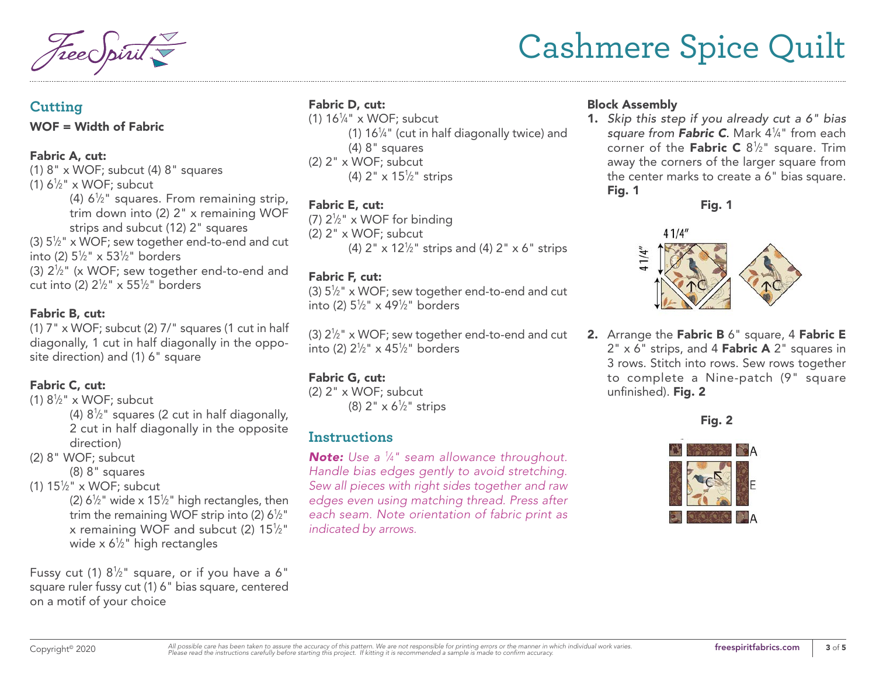#### **Cutting**

#### WOF = Width of Fabric

#### Fabric A, cut:

(1)  $8" \times WOF$ ; subcut (4)  $8"$  squares (1)  $6\frac{1}{2}$ " x WOF; subcut (4)  $6\frac{1}{2}$ " squares. From remaining strip, trim down into (2) 2" x remaining WOF strips and subcut (12) 2" squares (3)  $5\frac{1}{2}$ " x WOF; sew together end-to-end and cut into (2) 51 ⁄2" x 531 ⁄2" borders (3)  $2\frac{1}{2}$ " (x WOF; sew together end-to-end and cut into (2) 21 ⁄2" x 551 ⁄2" borders

#### Fabric B, cut:

 $(1)$  7" x WOF; subcut  $(2)$  7/" squares (1 cut in half diagonally, 1 cut in half diagonally in the opposite direction) and (1) 6" square

#### Fabric C, cut:

(1)  $8\frac{1}{2}$ " x WOF; subcut (4)  $8\frac{1}{2}$ " squares (2 cut in half diagonally, 2 cut in half diagonally in the opposite direction)

- (2) 8" WOF; subcut
	- (8) 8" squares
- (1)  $15\frac{1}{2}$ " x WOF; subcut

(2)  $6\frac{1}{2}$ " wide x 15<sup>1</sup>/<sub>2</sub>" high rectangles, then trim the remaining WOF strip into (2)  $6\frac{1}{2}$ " x remaining WOF and subcut (2) 15 $\frac{1}{2}$ " wide x 6½" high rectangles

Fussy cut (1)  $8\frac{1}{2}$ " square, or if you have a 6" square ruler fussy cut (1) 6" bias square, centered on a motif of your choice

### Fabric D, cut:

(1)  $16\frac{1}{4}$  x WOF; subcut (1)  $16\frac{1}{4}$ " (cut in half diagonally twice) and (4) 8" squares (2) 2" x WOF; subcut (4) 2" x 151 ⁄2" strips

### Fabric E, cut:

(7)  $2\frac{1}{2}$ " x WOF for binding (2) 2" x WOF; subcut (4) 2"  $\times$  12½" strips and (4) 2"  $\times$  6" strips

### Fabric F, cut:

(3)  $5\frac{1}{2}$ " x WOF; sew together end-to-end and cut into (2) 51 ⁄2" x 491 ⁄2" borders

(3)  $2\frac{1}{2}$ " x WOF; sew together end-to-end and cut into (2) 21 ⁄2" x 451 ⁄2" borders

### Fabric G, cut:

(2) 2" x WOF; subcut (8) 2" x 6½" strips

## **Instructions**

*Note: Use a 1 ⁄4" seam allowance throughout. Handle bias edges gently to avoid stretching. Sew all pieces with right sides together and raw edges even using matching thread. Press after each seam. Note orientation of fabric print as indicated by arrows.*

#### Block Assembly

1. *Skip this step if you already cut a 6" bias square from Fabric C*. Mark 41 ⁄4" from each corner of the Fabric C  $8\frac{1}{2}$ " square. Trim away the corners of the larger square from the center marks to create a 6" bias square. Fig. 1

Fig. 1



2. Arrange the Fabric B 6" square, 4 Fabric E  $2" \times 6"$  strips, and 4 Fabric A  $2"$  squares in 3 rows. Stitch into rows. Sew rows together to complete a Nine-patch (9" square unfinished). Fig. 2

Fig. 2

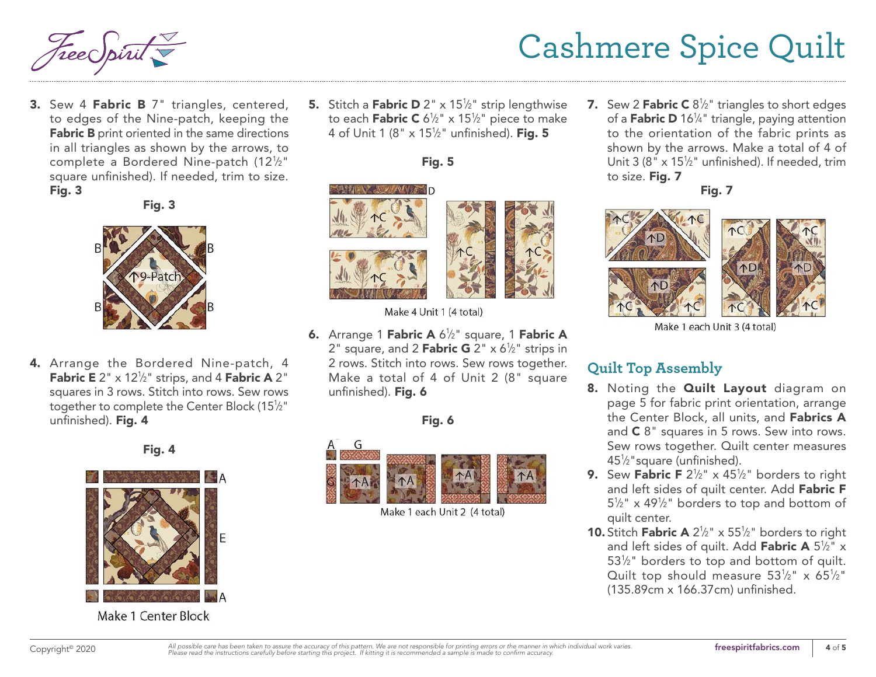3. Sew 4 Fabric B 7" triangles, centered, to edges of the Nine-patch, keeping the Fabric B print oriented in the same directions in all triangles as shown by the arrows, to complete a Bordered Nine-patch (121 ⁄2" square unfinished). If needed, trim to size. Fig. 3

Fig. 3



4. Arrange the Bordered Nine-patch, 4 **Fabric E** 2"  $\times$  12<sup>1</sup>/<sub>2</sub>" strips, and 4 **Fabric A** 2" squares in 3 rows. Stitch into rows. Sew rows together to complete the Center Block (151 ⁄2" unfinished). Fig. 4





Make 1 Center Block

**5.** Stitch a **Fabric D** 2" x 15<sup>1</sup>/<sub>2</sub>" strip lengthwise to each **Fabric C** 6½" x 15½" piece to make 4 of Unit 1 (8" x 15½" unfinished). **Fig. 5** 

Fig. 5





Make 4 Unit 1 (4 total)

**6.** Arrange 1 Fabric A 6<sup>1</sup>/<sub>2</sub>" square, 1 Fabric A 2" square, and 2 Fabric G 2"  $\times$  6½" strips in 2 rows. Stitch into rows. Sew rows together. Make a total of 4 of Unit 2 (8" square unfinished). Fig. 6

Fig. 6



Make 1 each Unit 2 (4 total)

**7.** Sew 2 **Fabric C**  $8\frac{1}{2}$ " triangles to short edges of a **Fabric D** 16¼" triangle, paying attention to the orientation of the fabric prints as shown by the arrows. Make a total of 4 of Unit 3 (8"  $\times$  15<sup>1</sup>/<sub>2</sub>" unfinished). If needed, trim to size. Fig. 7

Fig. 7



Make 1 each Unit 3 (4 total)

## **Quilt Top Assembly**

- 8. Noting the **Quilt Layout** diagram on page 5 for fabric print orientation, arrange the Center Block, all units, and Fabrics A and C 8" squares in 5 rows. Sew into rows. Sew rows together. Quilt center measures 451 ⁄2"square (unfinished).
- **9.** Sew Fabric F  $2\frac{1}{2}$ " x 45<sup>1</sup>/<sub>2</sub>" borders to right and left sides of quilt center. Add Fabric F  $5\frac{1}{2}$ " x 49<sup>1</sup>/<sub>2</sub>" borders to top and bottom of quilt center.
- **10.** Stitch **Fabric A**  $2\frac{1}{2}$ " x  $55\frac{1}{2}$ " borders to right and left sides of quilt. Add **Fabric A** 5½" x 53<sup>1/2</sup> borders to top and bottom of quilt. Quilt top should measure  $53\frac{1}{2}$ " x  $65\frac{1}{2}$ " (135.89cm x 166.37cm) unfinished.